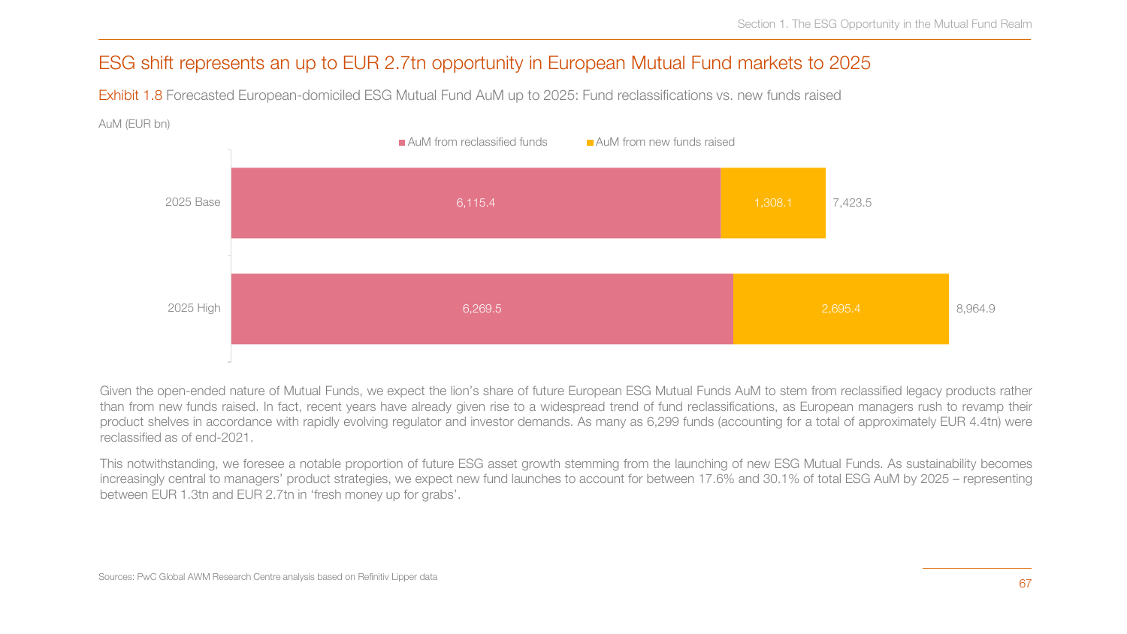# ESG shift represents an up to EUR 2.7tn opportunity in European Mutual Fund markets to 2025

Exhibit 1.8 Forecasted European-domiciled ESG Mutual Fund AuM up to 2025: Fund reclassifications vs. new funds raised

#### AuM (EUR bn)



Given the open-ended nature of Mutual Funds, we expect the lion's share of future European ESG Mutual Funds AuM to stem from reclassified legacy products rather than from new funds raised. In fact, recent years have already given rise to a widespread trend of fund reclassifications, as European managers rush to revamp their product shelves in accordance with rapidly evolving regulator and investor demands. As many as 6,299 funds (accounting for a total of approximately EUR 4.4tn) were reclassified as of end-2021.

This notwithstanding, we foresee a notable proportion of future ESG asset growth stemming from the launching of new ESG Mutual Funds. As sustainability becomes increasingly central to managers' product strategies, we expect new fund launches to account for between 17.6% and 30.1% of total ESG AuM by 2025 – representing between EUR 1.3tn and EUR 2.7tn in 'fresh money up for grabs'.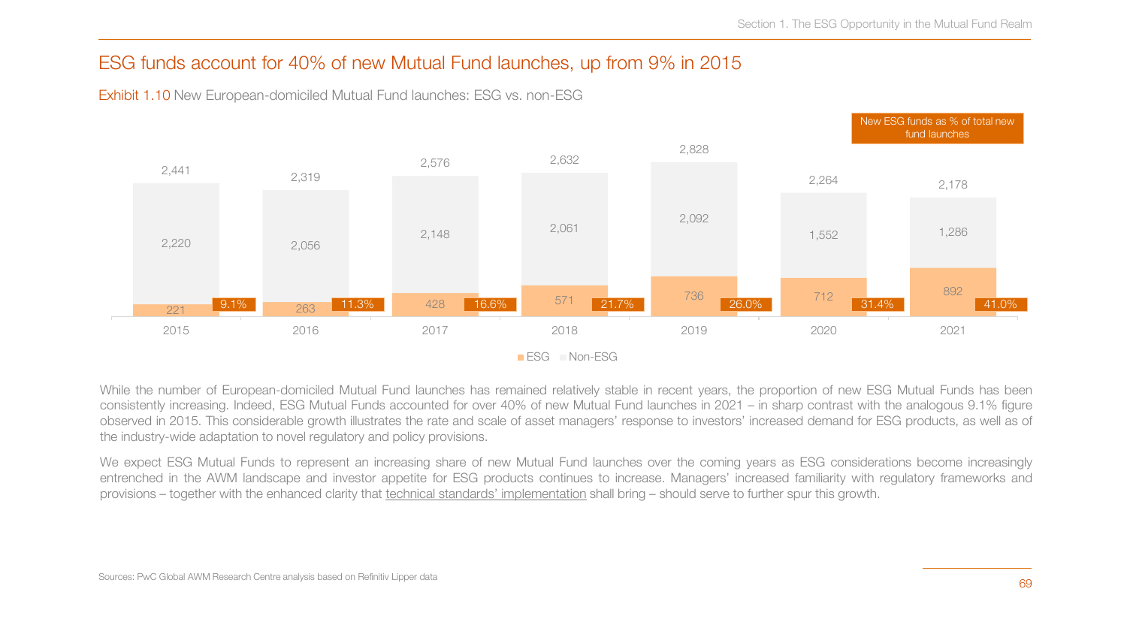## ESG funds account for 40% of new Mutual Fund launches, up from 9% in 2015



Exhibit 1.10 New European-domiciled Mutual Fund launches: ESG vs. non-ESG

While the number of European-domiciled Mutual Fund launches has remained relatively stable in recent years, the proportion of new ESG Mutual Funds has been consistently increasing. Indeed, ESG Mutual Funds accounted for over 40% of new Mutual Fund launches in 2021 – in sharp contrast with the analogous 9.1% figure observed in 2015. This considerable growth illustrates the rate and scale of asset managers' response to investors' increased demand for ESG products, as well as of the industry-wide adaptation to novel regulatory and policy provisions.

We expect ESG Mutual Funds to represent an increasing share of new Mutual Fund launches over the coming years as ESG considerations become increasingly entrenched in the AWM landscape and investor appetite for ESG products continues to increase. Managers' increased familiarity with regulatory frameworks and provisions – together with the enhanced clarity that technical standards' implementation shall bring – should serve to further spur this growth.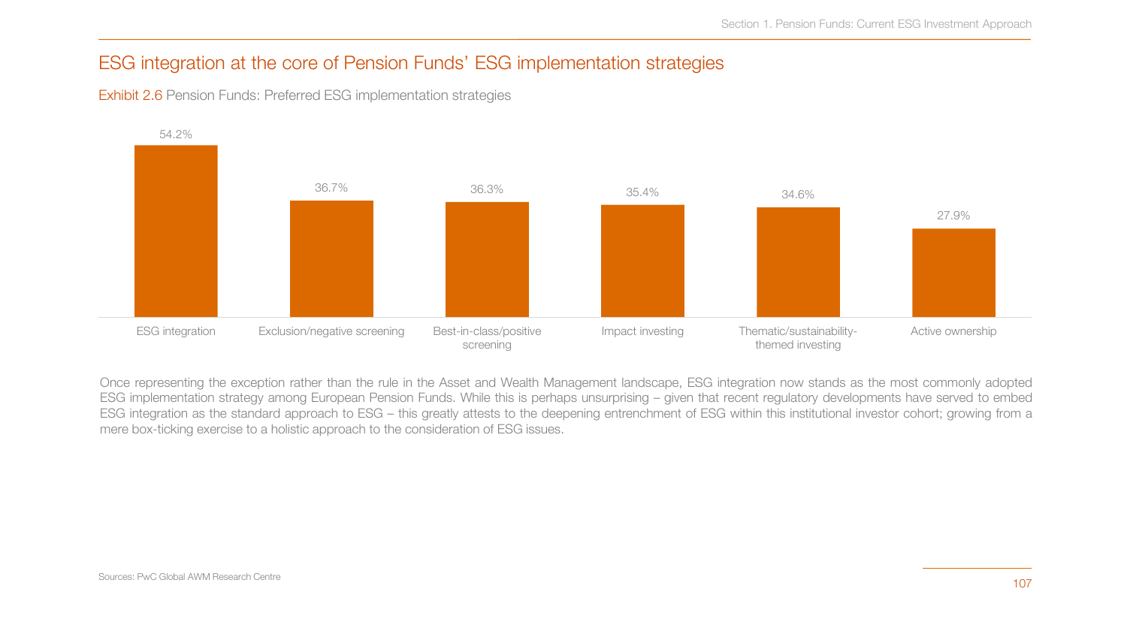# ESG integration at the core of Pension Funds' ESG implementation strategies

Exhibit 2.6 Pension Funds: Preferred ESG implementation strategies



Once representing the exception rather than the rule in the Asset and Wealth Management landscape, ESG integration now stands as the most commonly adopted ESG implementation strategy among European Pension Funds. While this is perhaps unsurprising – given that recent regulatory developments have served to embed ESG integration as the standard approach to ESG – this greatly attests to the deepening entrenchment of ESG within this institutional investor cohort; growing from a mere box-ticking exercise to a holistic approach to the consideration of ESG issues.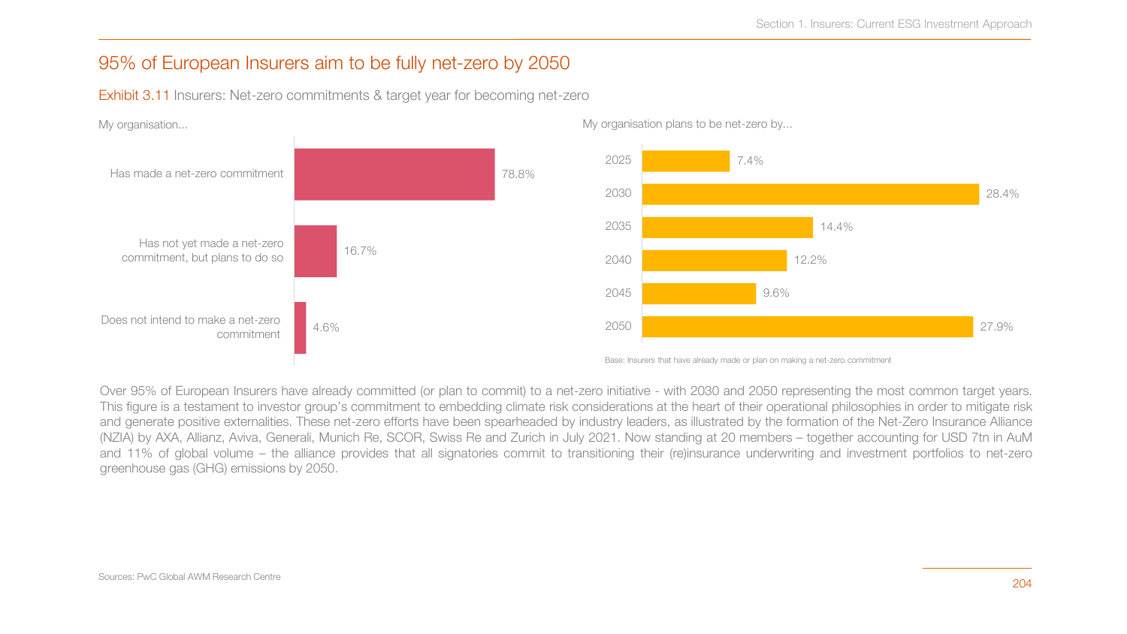## 95% of European Insurers aim to be fully net-zero by 2050

Exhibit 3.11 Insurers: Net-zero commitments & target year for becoming net-zero



Over 95% of European Insurers have already committed (or plan to commit) to a net-zero initiative - with 2030 and 2050 representing the most common target years. This figure is a testament to investor group's commitment to embedding climate risk considerations at the heart of their operational philosophies in order to mitigate risk and generate positive externalities. These net-zero efforts have been spearheaded by industry leaders, as illustrated by the formation of the Net-Zero Insurance Alliance (NZIA) by AXA, Allianz, Aviva, Generali, Munich Re, SCOR, Swiss Re and Zurich in July 2021. Now standing at 20 members – together accounting for USD 7tn in AuM and 11% of global volume – the alliance provides that all signatories commit to transitioning their (re)insurance underwriting and investment portfolios to net-zero greenhouse gas (GHG) emissions by 2050.